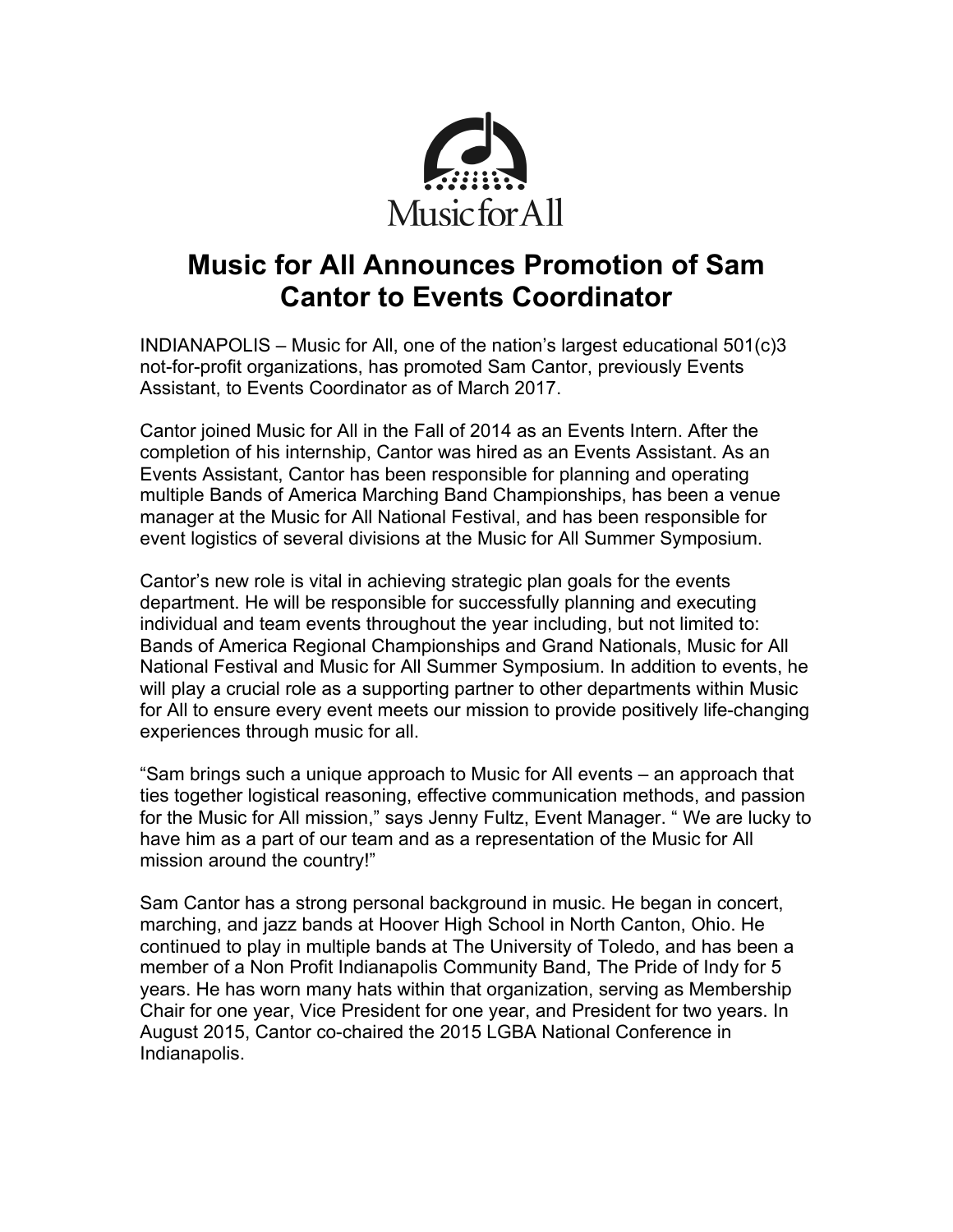

## **Music for All Announces Promotion of Sam Cantor to Events Coordinator**

INDIANAPOLIS – Music for All, one of the nation's largest educational 501(c)3 not-for-profit organizations, has promoted Sam Cantor, previously Events Assistant, to Events Coordinator as of March 2017.

Cantor joined Music for All in the Fall of 2014 as an Events Intern. After the completion of his internship, Cantor was hired as an Events Assistant. As an Events Assistant, Cantor has been responsible for planning and operating multiple Bands of America Marching Band Championships, has been a venue manager at the Music for All National Festival, and has been responsible for event logistics of several divisions at the Music for All Summer Symposium.

Cantor's new role is vital in achieving strategic plan goals for the events department. He will be responsible for successfully planning and executing individual and team events throughout the year including, but not limited to: Bands of America Regional Championships and Grand Nationals, Music for All National Festival and Music for All Summer Symposium. In addition to events, he will play a crucial role as a supporting partner to other departments within Music for All to ensure every event meets our mission to provide positively life-changing experiences through music for all.

"Sam brings such a unique approach to Music for All events – an approach that ties together logistical reasoning, effective communication methods, and passion for the Music for All mission," says Jenny Fultz, Event Manager. " We are lucky to have him as a part of our team and as a representation of the Music for All mission around the country!"

Sam Cantor has a strong personal background in music. He began in concert, marching, and jazz bands at Hoover High School in North Canton, Ohio. He continued to play in multiple bands at The University of Toledo, and has been a member of a Non Profit Indianapolis Community Band, The Pride of Indy for 5 years. He has worn many hats within that organization, serving as Membership Chair for one year, Vice President for one year, and President for two years. In August 2015, Cantor co-chaired the 2015 LGBA National Conference in Indianapolis.